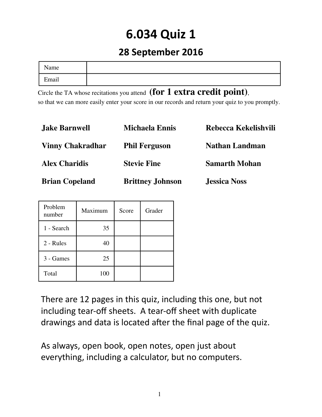# **6.034 Quiz 1**

### **28 September 2016**

| Name       |  |
|------------|--|
| Email<br>┳ |  |

Circle the TA whose recitations you attend  $(for 1 extra credit point)$ , so that we can more easily enter your score in our records and return your quiz to you promptly.

| <b>Jake Barnwell</b>    | <b>Michaela Ennis</b>   | Rebecca Kekelishvili  |
|-------------------------|-------------------------|-----------------------|
| <b>Vinny Chakradhar</b> | <b>Phil Ferguson</b>    | <b>Nathan Landman</b> |
| <b>Alex Charidis</b>    | <b>Stevie Fine</b>      | <b>Samarth Mohan</b>  |
| <b>Brian Copeland</b>   | <b>Brittney Johnson</b> | <b>Jessica Noss</b>   |

| Problem<br>number | Maximum | Score | Grader |
|-------------------|---------|-------|--------|
| 1 - Search        | 35      |       |        |
| 2 - Rules         | 40      |       |        |
| 3 - Games         | 25      |       |        |
| Total             | 100     |       |        |

There are 12 pages in this quiz, including this one, but not including tear-off sheets. A tear-off sheet with duplicate drawings and data is located after the final page of the quiz.

As always, open book, open notes, open just about everything, including a calculator, but no computers.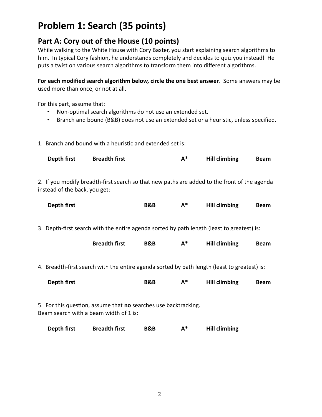## **Problem 1: Search (35 points)**

#### **Part A: Cory out of the House (10 points)**

While walking to the White House with Cory Baxter, you start explaining search algorithms to him. In typical Cory fashion, he understands completely and decides to quiz you instead! He puts a twist on various search algorithms to transform them into different algorithms.

**For each modified search algorithm below, circle the one best answer**. Some answers may be used more than once, or not at all.

For this part, assume that:

- Non-optimal search algorithms do not use an extended set.
- Branch and bound (B&B) does not use an extended set or a heuristic, unless specified.

1. Branch and bound with a heuristic and extended set is:

| Depth first | <b>Breadth first</b> | <b>Hill climbing</b> | <b>Beam</b> |
|-------------|----------------------|----------------------|-------------|
|             |                      |                      |             |

2. If you modify breadth-first search so that new paths are added to the front of the agenda instead of the back, you get:

| Depth first | B&B |  | <b>Hill climbing</b> | <b>Beam</b> |
|-------------|-----|--|----------------------|-------------|
|-------------|-----|--|----------------------|-------------|

3. Depth-first search with the entire agenda sorted by path length (least to greatest) is:

| <b>Breadth first</b> | B&B | Λ* | <b>Hill climbing</b> | <b>Beam</b> |
|----------------------|-----|----|----------------------|-------------|
|----------------------|-----|----|----------------------|-------------|

4. Breadth-first search with the entire agenda sorted by path length (least to greatest) is:

| Depth first | B&B |  | <b>Hill climbing</b> | <b>Beam</b> |
|-------------|-----|--|----------------------|-------------|
|-------------|-----|--|----------------------|-------------|

5. For this question, assume that **no** searches use backtracking. Beam search with a beam width of 1 is:

| Depth first | <b>Breadth first</b> | B&B | А* | <b>Hill climbing</b> |
|-------------|----------------------|-----|----|----------------------|
|-------------|----------------------|-----|----|----------------------|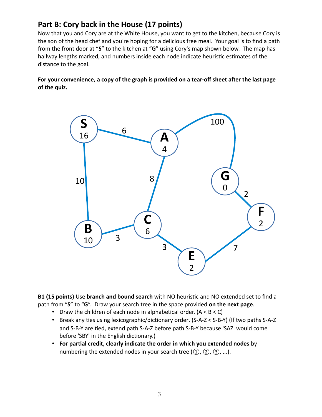#### **Part B: Cory back in the House (17 points)**

Now that you and Cory are at the White House, you want to get to the kitchen, because Cory is the son of the head chef and you're hoping for a delicious free meal. Your goal is to find a path from the front door at "**S**" to the kitchen at "**G**" using Cory's map shown below. The map has hallway lengths marked, and numbers inside each node indicate heuristic estimates of the distance to the goal.

**For your convenience, a copy of the graph is provided on a tear-off sheet after the last page of the quiz.**



**B1 (15 points)** Use **branch and bound search** with NO heuristic and NO extended set to find a path from "**S**" to "**G**". Draw your search tree in the space provided **on the next page**.

- Draw the children of each node in alphabetical order.  $(A < B < C)$
- Break any ties using lexicographic/dictionary order. (S-A-Z < S-B-Y) (If two paths S-A-Z and S-B-Y are tied, extend path S-A-Z before path S-B-Y because 'SAZ' would come before 'SBY' in the English dictionary.)
- **For partial credit, clearly indicate the order in which you extended nodes** by numbering the extended nodes in your search tree  $(1)$ ,  $(2)$ ,  $(3)$ , ...).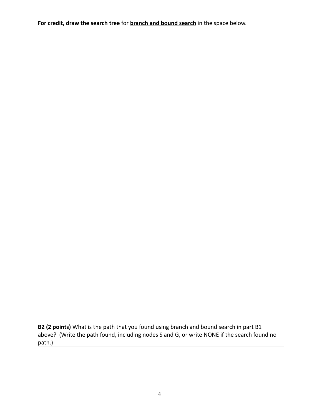**For credit, draw the search tree** for **branch and bound search** in the space below.

**B2 (2 points)** What is the path that you found using branch and bound search in part B1 above? (Write the path found, including nodes S and G, or write NONE if the search found no path.)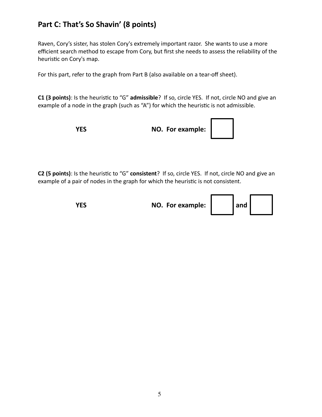#### **Part C: That's So Shavin' (8 points)**

Raven, Cory's sister, has stolen Cory's extremely important razor. She wants to use a more efficient search method to escape from Cory, but first she needs to assess the reliability of the heuristic on Cory's map.

For this part, refer to the graph from Part B (also available on a tear-off sheet).

**C1 (3 points)**: Is the heuristic to "G" **admissible**? If so, circle YES. If not, circle NO and give an example of a node in the graph (such as "A") for which the heuristic is not admissible.

**YES NO. For example:** 

**C2 (5 points)**: Is the heuristic to "G" **consistent**? If so, circle YES. If not, circle NO and give an example of a pair of nodes in the graph for which the heuristic is not consistent.

**YES NO.** For example:  $\begin{bmatrix} 1 & 1 \\ 1 & 1 \end{bmatrix}$  and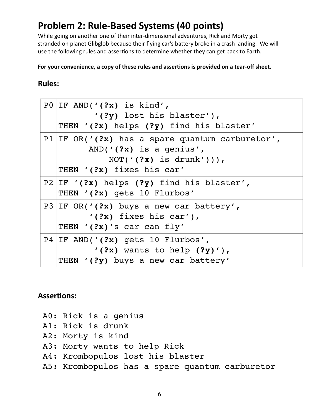## **Problem 2: Rule-Based Systems (40 points)**

While going on another one of their inter-dimensional adventures, Rick and Morty got stranded on planet Glibglob because their flying car's battery broke in a crash landing. We will use the following rules and assertions to determine whether they can get back to Earth.

**For your convenience, a copy of these rules and assertions is provided on a tear-off sheet.**

#### **Rules:**

| PO IF AND(' $(?\mathbf{x})$ is kind',<br>$'(?y)$ lost his blaster'),<br>THEN '(?x) helps (?y) find his blaster'                                |
|------------------------------------------------------------------------------------------------------------------------------------------------|
| P1   IF OR( $'$ (?x) has a spare quantum carburetor',<br>AND( $'(?x)$ is a genius',<br>NOT( $'(?x)$ is drunk'))),<br>THEN '(?x) fixes his car' |
| P2   IF $'(?x)$ helps $(?y)$ find his blaster',<br>THEN '(?x) gets 10 Flurbos'                                                                 |
| P3 IF OR( $'(?x)$ buys a new car battery',<br>$'(?x)$ fixes his car'),<br>THEN '(?x)'s car can fly'                                            |
| P4   IF AND( $'(?x)$ gets 10 Flurbos',<br>$'(?x)$ wants to help $(?y)'$ ,<br>THEN '(?y) buys a new car battery'                                |

#### **Assertions:**

- A0: Rick is a genius
- A1: Rick is drunk
- A2: Morty is kind
- A3: Morty wants to help Rick
- A4: Krombopulos lost his blaster
- A5: Krombopulos has a spare quantum carburetor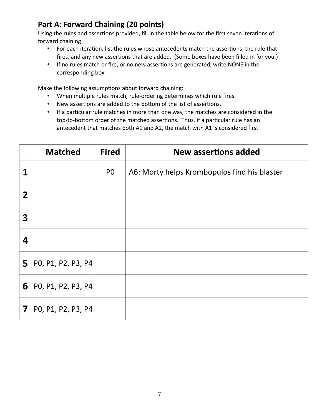#### **Part A: Forward Chaining (20 points)**

Using the rules and assertions provided, fill in the table below for the first seven iterations of forward chaining.

- For each iteration, list the rules whose antecedents match the assertions, the rule that fires, and any new assertions that are added. (Some boxes have been filled in for you.)
- If no rules match or fire, or no new assertions are generated, write NONE in the corresponding box.

Make the following assumptions about forward chaining:

- When multiple rules match, rule-ordering determines which rule fires.
- New assertions are added to the bottom of the list of assertions.
- If a particular rule matches in more than one way, the matches are considered in the top-to-bottom order of the matched assertions. Thus, if a particular rule has an antecedent that matches both A1 and A2, the match with A1 is considered first.

|                | <b>Matched</b>     | <b>Fired</b>   | New assertions added                         |
|----------------|--------------------|----------------|----------------------------------------------|
| 1              |                    | P <sub>0</sub> | A6: Morty helps Krombopulos find his blaster |
| $\overline{2}$ |                    |                |                                              |
| 3              |                    |                |                                              |
| 4              |                    |                |                                              |
| 5              | PO, P1, P2, P3, P4 |                |                                              |
| 6              | PO, P1, P2, P3, P4 |                |                                              |
| 7              | PO, P1, P2, P3, P4 |                |                                              |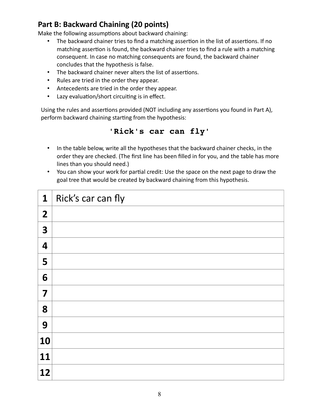#### **Part B: Backward Chaining (20 points)**

Make the following assumptions about backward chaining:

- The backward chainer tries to find a matching assertion in the list of assertions. If no matching assertion is found, the backward chainer tries to find a rule with a matching consequent. In case no matching consequents are found, the backward chainer concludes that the hypothesis is false.
- The backward chainer never alters the list of assertions.
- Rules are tried in the order they appear.
- Antecedents are tried in the order they appear.
- Lazy evaluation/short circuiting is in effect.

Using the rules and assertions provided (NOT including any assertions you found in Part A), perform backward chaining starting from the hypothesis:

#### **'Rick's car can fly'**

- In the table below, write all the hypotheses that the backward chainer checks, in the order they are checked. (The first line has been filled in for you, and the table has more lines than you should need.)
- You can show your work for partial credit: Use the space on the next page to draw the goal tree that would be created by backward chaining from this hypothesis.

| $\mathbf{1}$   | Rick's car can fly |
|----------------|--------------------|
| $\overline{2}$ |                    |
| 3              |                    |
| 4              |                    |
| 5              |                    |
| 6              |                    |
| 7              |                    |
| 8              |                    |
| 9              |                    |
| 10             |                    |
| 11             |                    |
| 12             |                    |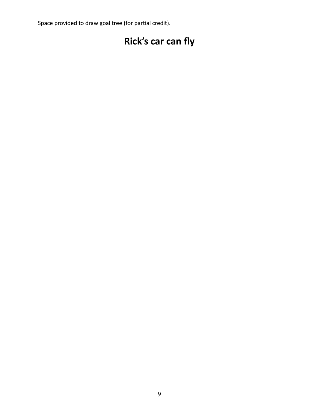Space provided to draw goal tree (for partial credit).

## **Rick's car can fly**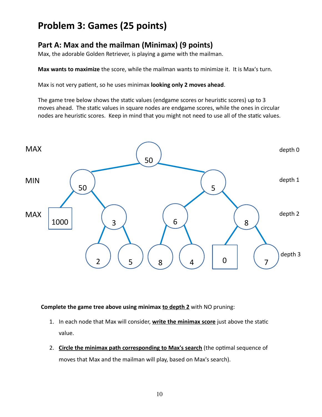## **Problem 3: Games (25 points)**

#### **Part A: Max and the mailman (Minimax) (9 points)**

Max, the adorable Golden Retriever, is playing a game with the mailman.

**Max wants to maximize** the score, while the mailman wants to minimize it. It is Max's turn.

Max is not very patient, so he uses minimax **looking only 2 moves ahead**.

The game tree below shows the static values (endgame scores or heuristic scores) up to 3 moves ahead. The static values in square nodes are endgame scores, while the ones in circular nodes are heuristic scores. Keep in mind that you might not need to use all of the static values.



**Complete the game tree above using minimax to depth 2** with NO pruning:

- 1. In each node that Max will consider, **write the minimax score** just above the static value.
- 2. **Circle the minimax path corresponding to Max's search** (the optimal sequence of moves that Max and the mailman will play, based on Max's search).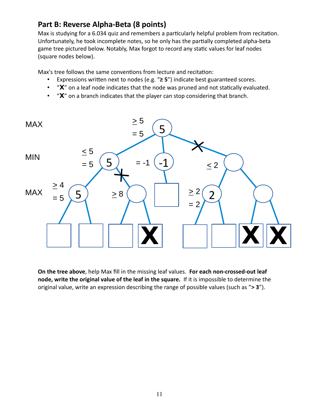#### **Part B: Reverse Alpha-Beta (8 points)**

Max is studying for a 6.034 quiz and remembers a particularly helpful problem from recitation. Unfortunately, he took incomplete notes, so he only has the partially completed alpha-beta game tree pictured below. Notably, Max forgot to record any static values for leaf nodes (square nodes below).

Max's tree follows the same conventions from lecture and recitation:

- Expressions written next to nodes (e.g. "**≥ 5**") indicate best guaranteed scores.
- "**X**" on a leaf node indicates that the node was pruned and not statically evaluated.
- "**X**" on a branch indicates that the player can stop considering that branch.



**On the tree above**, help Max fill in the missing leaf values. **For each non-crossed-out leaf node, write the original value of the leaf in the square.** If it is impossible to determine the original value, write an expression describing the range of possible values (such as "**> 3**").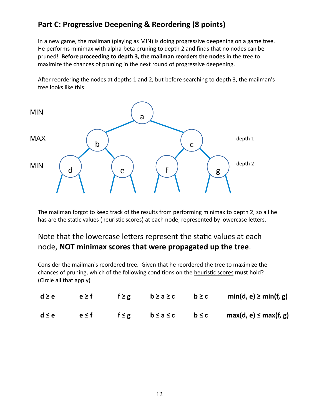#### **Part C: Progressive Deepening & Reordering (8 points)**

In a new game, the mailman (playing as MIN) is doing progressive deepening on a game tree. He performs minimax with alpha-beta pruning to depth 2 and finds that no nodes can be pruned! **Before proceeding to depth 3, the mailman reorders the nodes** in the tree to maximize the chances of pruning in the next round of progressive deepening.

After reordering the nodes at depths 1 and 2, but before searching to depth 3, the mailman's tree looks like this:



The mailman forgot to keep track of the results from performing minimax to depth 2, so all he has are the static values (heuristic scores) at each node, represented by lowercase letters.

#### Note that the lowercase letters represent the static values at each node, **NOT minimax scores that were propagated up the tree**.

Consider the mailman's reordered tree. Given that he reordered the tree to maximize the chances of pruning, which of the following conditions on the heuristic scores **must** hold? (Circle all that apply)

| $d \ge e$ | $e \geq f$ | f≥g b≥a≥c | $b \ge c$ | $min(d, e) \geq min(f, g)$                                         |
|-----------|------------|-----------|-----------|--------------------------------------------------------------------|
| $d \le e$ | $e \leq f$ |           |           | $f \leq g$ $b \leq a \leq c$ $b \leq c$ $max(d, e) \leq max(f, g)$ |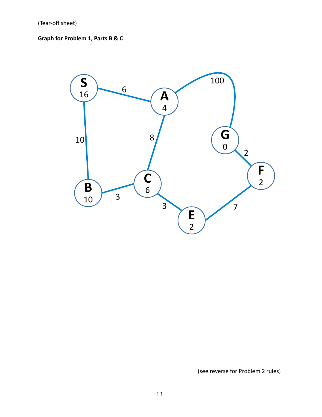#### **Graph for Problem 1, Parts B & C**



(see reverse for Problem 2 rules)